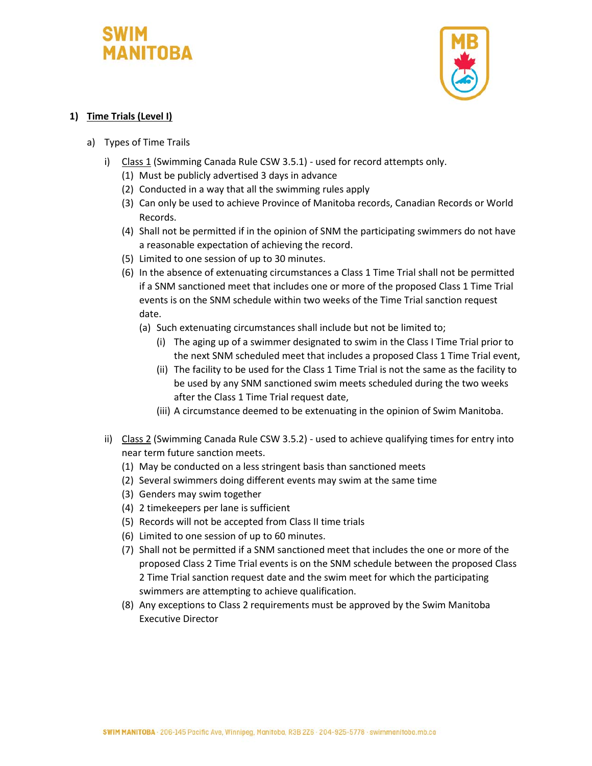## **MANITOBA**



## **1) Time Trials (Level I)**

- a) Types of Time Trails
	- i) Class 1 (Swimming Canada Rule CSW 3.5.1) used for record attempts only.
		- (1) Must be publicly advertised 3 days in advance
		- (2) Conducted in a way that all the swimming rules apply
		- (3) Can only be used to achieve Province of Manitoba records, Canadian Records or World Records.
		- (4) Shall not be permitted if in the opinion of SNM the participating swimmers do not have a reasonable expectation of achieving the record.
		- (5) Limited to one session of up to 30 minutes.
		- (6) In the absence of extenuating circumstances a Class 1 Time Trial shall not be permitted if a SNM sanctioned meet that includes one or more of the proposed Class 1 Time Trial events is on the SNM schedule within two weeks of the Time Trial sanction request date.
			- (a) Such extenuating circumstances shall include but not be limited to;
				- (i) The aging up of a swimmer designated to swim in the Class I Time Trial prior to the next SNM scheduled meet that includes a proposed Class 1 Time Trial event,
				- (ii) The facility to be used for the Class 1 Time Trial is not the same as the facility to be used by any SNM sanctioned swim meets scheduled during the two weeks after the Class 1 Time Trial request date,
				- (iii) A circumstance deemed to be extenuating in the opinion of Swim Manitoba.
	- ii) Class 2 (Swimming Canada Rule CSW 3.5.2) used to achieve qualifying times for entry into near term future sanction meets.
		- (1) May be conducted on a less stringent basis than sanctioned meets
		- (2) Several swimmers doing different events may swim at the same time
		- (3) Genders may swim together
		- (4) 2 timekeepers per lane is sufficient
		- (5) Records will not be accepted from Class II time trials
		- (6) Limited to one session of up to 60 minutes.
		- (7) Shall not be permitted if a SNM sanctioned meet that includes the one or more of the proposed Class 2 Time Trial events is on the SNM schedule between the proposed Class 2 Time Trial sanction request date and the swim meet for which the participating swimmers are attempting to achieve qualification.
		- (8) Any exceptions to Class 2 requirements must be approved by the Swim Manitoba Executive Director